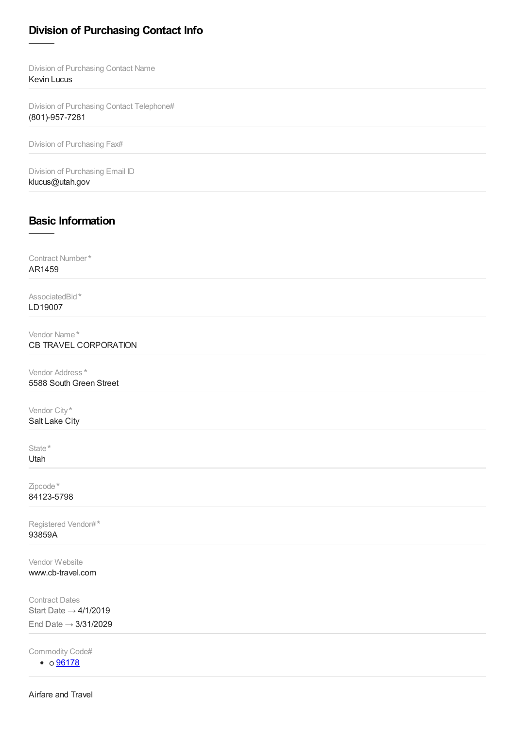## **Division of Purchasing Contact Info**

Division of Purchasing Contact Name Kevin Lucus

Division of Purchasing Contact Telephone# (801)-957-7281

Division of Purchasing Fax#

Division of Purchasing Email ID klucus@utah.gov

## **Basic Information**

Contract Number \* AR1459

AssociatedBid \* LD19007

Vendor Name \* CB TRAVEL CORPORATION

Vendor Address \* 5588 South Green Street

Vendor City \* Salt Lake City

State \*

Utah

Zipcode \* 84123-5798

Registered Vendor# \*93859A

Vendor Website www.cb-travel.com

Contract Dates Start Date  $\rightarrow$  4/1/2019 End Date → 3/31/2029

Commodity Code#

 $\bullet$  0  $\frac{96178}{ }$  $\frac{96178}{ }$  $\frac{96178}{ }$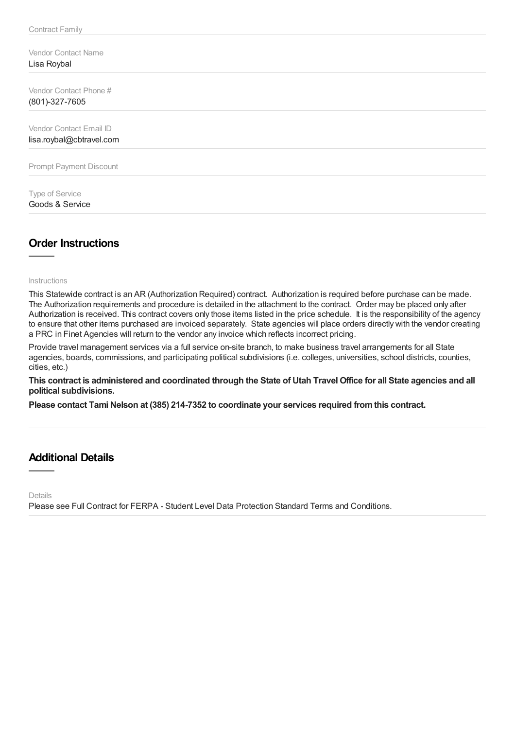Vendor Contact Name Lisa Roybal

Vendor Contact Phone # (801)-327-7605

Vendor Contact Email ID lisa.roybal@cbtravel.com

Prompt Payment Discount

Type of Service Goods & Service

## **Order Instructions**

Instructions

This Statewide contract is an AR (Authorization Required) contract. Authorization is required before purchase can be made. The Authorization requirements and procedure is detailed in the attachment to the contract. Order may be placed only after Authorization is received. This contract covers only those items listed in the price schedule. It is the responsibility of the agency to ensure that other items purchased are invoiced separately. State agencies will place orders directly with the vendor creating a PRC in Finet Agencies will return to the vendor any invoice which reflects incorrect pricing.

Provide travel management services via a full service on-site branch, to make business travel arrangements for all State agencies, boards, commissions, and participating political subdivisions (i.e. colleges, universities, school districts, counties, cities, etc.)

This contract is administered and coordinated through the State of Utah Travel Office for all State agencies and all **political subdivisions.**

**Please contact Tami Nelson at (385) 214-7352 to coordinate your services required fromthis contract.**

## **Additional Details**

Details

Please see Full Contract for FERPA - Student Level Data Protection Standard Terms and Conditions.